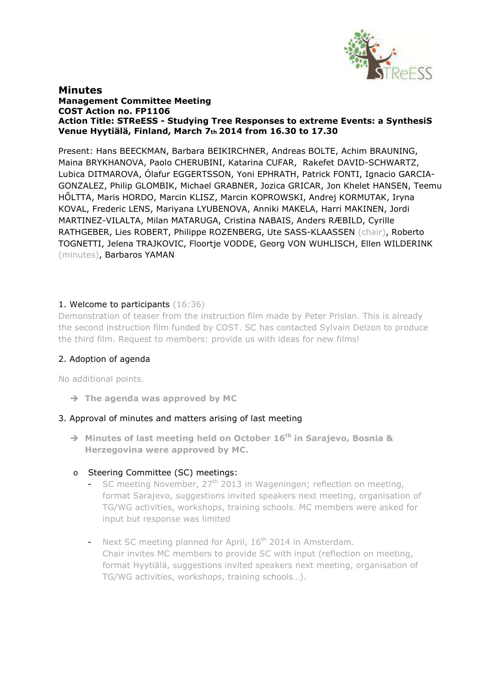

#### **Minutes Management Committee Meeting COST Action no. FP1106 Action Title: STReESS - Studying Tree Responses to extreme Events: a SynthesiS Venue Hyytiälä, Finland, March 7th 2014 from 16.30 to 17.30**

Present: Hans BEECKMAN, Barbara BEIKIRCHNER, Andreas BOLTE, Achim BRAUNING, Maina BRYKHANOVA, Paolo CHERUBINI, Katarina CUFAR, Rakefet DAVID-SCHWARTZ, Lubica DITMAROVA, Ólafur EGGERTSSON, Yoni EPHRATH, Patrick FONTI, Ignacio GARCIA-GONZALEZ, Philip GLOMBIK, Michael GRABNER, Jozica GRICAR, Jon Khelet HANSEN, Teemu HŐLTTA, Maris HORDO, Marcin KLISZ, Marcin KOPROWSKI, Andrej KORMUTAK, Iryna KOVAL, Frederic LENS, Mariyana LYUBENOVA, Anniki MAKELA, Harri MAKINEN, Jordi MARTINEZ-VILALTA, Milan MATARUGA, Cristina NABAIS, Anders RÆBILD, Cyrille RATHGEBER, Lies ROBERT, Philippe ROZENBERG, Ute SASS-KLAASSEN (chair), Roberto TOGNETTI, Jelena TRAJKOVIC, Floortje VODDE, Georg VON WUHLISCH, Ellen WILDERINK (minutes), Barbaros YAMAN

#### 1. Welcome to participants (16:36)

Demonstration of teaser from the instruction film made by Peter Prislan. This is already the second instruction film funded by COST. SC has contacted Sylvain Delzon to produce the third film. Request to members: provide us with ideas for new films!

#### 2. Adoption of agenda

No additional points.

**The agenda was approved by MC** 

#### 3. Approval of minutes and matters arising of last meeting

→ Minutes of last meeting held on October 16<sup>th</sup> in Sarajevo, Bosnia & **Herzegovina were approved by MC.** 

#### o Steering Committee (SC) meetings:

- SC meeting November,  $27<sup>th</sup>$  2013 in Wageningen; reflection on meeting, format Sarajevo, suggestions invited speakers next meeting, organisation of TG/WG activities, workshops, training schools. MC members were asked for input but response was limited
- Next SC meeting planned for April,  $16<sup>th</sup>$  2014 in Amsterdam. Chair invites MC members to provide SC with input (reflection on meeting, format Hyytiälä, suggestions invited speakers next meeting, organisation of TG/WG activities, workshops, training schools…).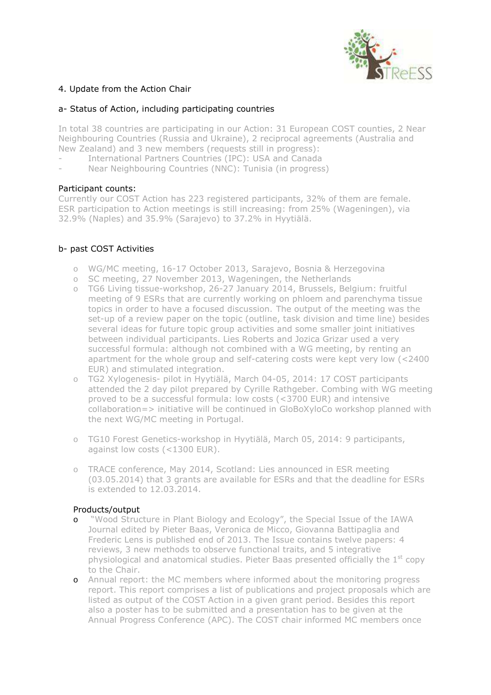

## 4. Update from the Action Chair

#### a- Status of Action, including participating countries

In total 38 countries are participating in our Action: 31 European COST counties, 2 Near Neighbouring Countries (Russia and Ukraine), 2 reciprocal agreements (Australia and New Zealand) and 3 new members (requests still in progress):

- International Partners Countries (IPC): USA and Canada
- Near Neighbouring Countries (NNC): Tunisia (in progress)

#### Participant counts:

Currently our COST Action has 223 registered participants, 32% of them are female. ESR participation to Action meetings is still increasing: from 25% (Wageningen), via 32.9% (Naples) and 35.9% (Sarajevo) to 37.2% in Hyytiälä.

#### b- past COST Activities

- o WG/MC meeting, 16-17 October 2013, Sarajevo, Bosnia & Herzegovina
- o SC meeting, 27 November 2013, Wageningen, the Netherlands
- o TG6 Living tissue-workshop, 26-27 January 2014, Brussels, Belgium: fruitful meeting of 9 ESRs that are currently working on phloem and parenchyma tissue topics in order to have a focused discussion. The output of the meeting was the set-up of a review paper on the topic (outline, task division and time line) besides several ideas for future topic group activities and some smaller joint initiatives between individual participants. Lies Roberts and Jozica Grizar used a very successful formula: although not combined with a WG meeting, by renting an apartment for the whole group and self-catering costs were kept very low (<2400 EUR) and stimulated integration.
- o TG2 Xylogenesis- pilot in Hyytiälä, March 04-05, 2014: 17 COST participants attended the 2 day pilot prepared by Cyrille Rathgeber. Combing with WG meeting proved to be a successful formula: low costs (<3700 EUR) and intensive collaboration=> initiative will be continued in GloBoXyloCo workshop planned with the next WG/MC meeting in Portugal.
- o TG10 Forest Genetics-workshop in Hyytiälä, March 05, 2014: 9 participants, against low costs (<1300 EUR).
- o TRACE conference, May 2014, Scotland: Lies announced in ESR meeting (03.05.2014) that 3 grants are available for ESRs and that the deadline for ESRs is extended to 12.03.2014.

#### Products/output

- o "Wood Structure in Plant Biology and Ecology", the Special Issue of the IAWA Journal edited by Pieter Baas, Veronica de Micco, Giovanna Battipaglia and Frederic Lens is published end of 2013. The Issue contains twelve papers: 4 reviews, 3 new methods to observe functional traits, and 5 integrative physiological and anatomical studies. Pieter Baas presented officially the  $1<sup>st</sup>$  copy to the Chair.
- o Annual report: the MC members where informed about the monitoring progress report. This report comprises a list of publications and project proposals which are listed as output of the COST Action in a given grant period. Besides this report also a poster has to be submitted and a presentation has to be given at the Annual Progress Conference (APC). The COST chair informed MC members once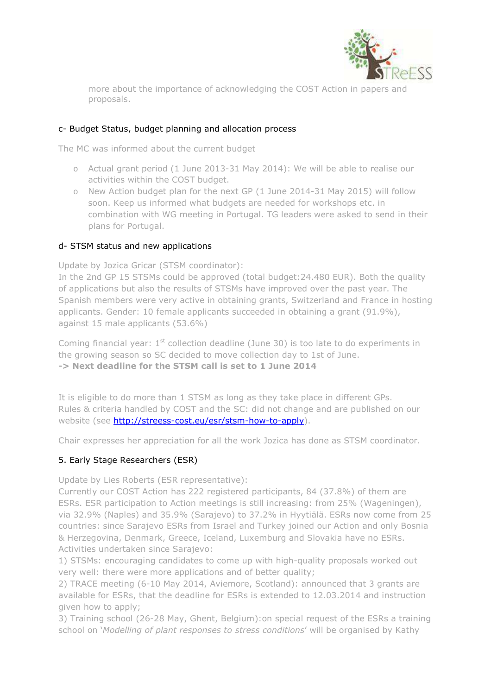

more about the importance of acknowledging the COST Action in papers and proposals.

### c- Budget Status, budget planning and allocation process

The MC was informed about the current budget

- o Actual grant period (1 June 2013-31 May 2014): We will be able to realise our activities within the COST budget.
- o New Action budget plan for the next GP (1 June 2014-31 May 2015) will follow soon. Keep us informed what budgets are needed for workshops etc. in combination with WG meeting in Portugal. TG leaders were asked to send in their plans for Portugal.

#### d- STSM status and new applications

Update by Jozica Gricar (STSM coordinator):

In the 2nd GP 15 STSMs could be approved (total budget:24.480 EUR). Both the quality of applications but also the results of STSMs have improved over the past year. The Spanish members were very active in obtaining grants, Switzerland and France in hosting applicants. Gender: 10 female applicants succeeded in obtaining a grant (91.9%), against 15 male applicants (53.6%)

Coming financial year: 1<sup>st</sup> collection deadline (June 30) is too late to do experiments in the growing season so SC decided to move collection day to 1st of June. **-> Next deadline for the STSM call is set to 1 June 2014** 

It is eligible to do more than 1 STSM as long as they take place in different GPs. Rules & criteria handled by COST and the SC: did not change and are published on our website (see http://streess-cost.eu/esr/stsm-how-to-apply).

Chair expresses her appreciation for all the work Jozica has done as STSM coordinator.

#### 5. Early Stage Researchers (ESR)

Update by Lies Roberts (ESR representative):

Currently our COST Action has 222 registered participants, 84 (37.8%) of them are ESRs. ESR participation to Action meetings is still increasing: from 25% (Wageningen), via 32.9% (Naples) and 35.9% (Sarajevo) to 37.2% in Hyytiälä. ESRs now come from 25 countries: since Sarajevo ESRs from Israel and Turkey joined our Action and only Bosnia & Herzegovina, Denmark, Greece, Iceland, Luxemburg and Slovakia have no ESRs. Activities undertaken since Sarajevo:

1) STSMs: encouraging candidates to come up with high-quality proposals worked out very well: there were more applications and of better quality;

2) TRACE meeting (6-10 May 2014, Aviemore, Scotland): announced that 3 grants are available for ESRs, that the deadline for ESRs is extended to 12.03.2014 and instruction given how to apply;

3) Training school (26-28 May, Ghent, Belgium):on special request of the ESRs a training school on '*Modelling of plant responses to stress conditions*' will be organised by Kathy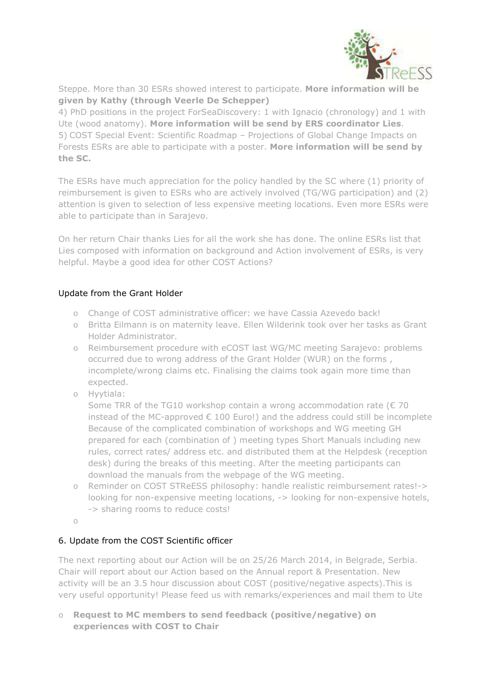

Steppe. More than 30 ESRs showed interest to participate. **More information will be given by Kathy (through Veerle De Schepper)**

4) PhD positions in the project ForSeaDiscovery: 1 with Ignacio (chronology) and 1 with Ute (wood anatomy). **More information will be send by ERS coordinator Lies**. 5) COST Special Event: Scientific Roadmap – Projections of Global Change Impacts on Forests ESRs are able to participate with a poster. **More information will be send by the SC.** 

The ESRs have much appreciation for the policy handled by the SC where (1) priority of reimbursement is given to ESRs who are actively involved (TG/WG participation) and (2) attention is given to selection of less expensive meeting locations. Even more ESRs were able to participate than in Sarajevo.

On her return Chair thanks Lies for all the work she has done. The online ESRs list that Lies composed with information on background and Action involvement of ESRs, is very helpful. Maybe a good idea for other COST Actions?

## Update from the Grant Holder

- o Change of COST administrative officer: we have Cassia Azevedo back!
- o Britta Eilmann is on maternity leave. Ellen Wilderink took over her tasks as Grant Holder Administrator.
- o Reimbursement procedure with eCOST last WG/MC meeting Sarajevo: problems occurred due to wrong address of the Grant Holder (WUR) on the forms , incomplete/wrong claims etc. Finalising the claims took again more time than expected.
- o Hyytiala:

Some TRR of the TG10 workshop contain a wrong accommodation rate ( $\epsilon$  70 instead of the MC-approved  $\epsilon$  100 Euro!) and the address could still be incomplete Because of the complicated combination of workshops and WG meeting GH prepared for each (combination of ) meeting types Short Manuals including new rules, correct rates/ address etc. and distributed them at the Helpdesk (reception desk) during the breaks of this meeting. After the meeting participants can download the manuals from the webpage of the WG meeting.

- o Reminder on COST STReESS philosophy: handle realistic reimbursement rates!-> looking for non-expensive meeting locations, -> looking for non-expensive hotels, -> sharing rooms to reduce costs!
- o

# 6. Update from the COST Scientific officer

The next reporting about our Action will be on 25/26 March 2014, in Belgrade, Serbia. Chair will report about our Action based on the Annual report & Presentation. New activity will be an 3.5 hour discussion about COST (positive/negative aspects).This is very useful opportunity! Please feed us with remarks/experiences and mail them to Ute

o **Request to MC members to send feedback (positive/negative) on experiences with COST to Chair**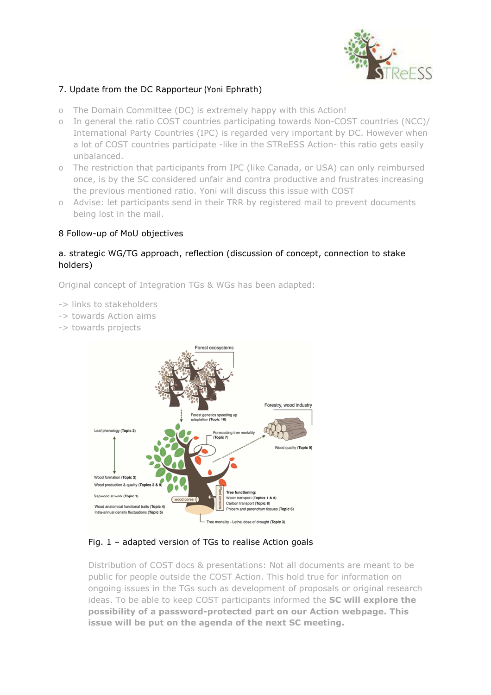

## 7. Update from the DC Rapporteur (Yoni Ephrath)

- o The Domain Committee (DC) is extremely happy with this Action!
- o In general the ratio COST countries participating towards Non-COST countries (NCC)/ International Party Countries (IPC) is regarded very important by DC. However when a lot of COST countries participate -like in the STReESS Action- this ratio gets easily unbalanced.
- o The restriction that participants from IPC (like Canada, or USA) can only reimbursed once, is by the SC considered unfair and contra productive and frustrates increasing the previous mentioned ratio. Yoni will discuss this issue with COST
- o Advise: let participants send in their TRR by registered mail to prevent documents being lost in the mail.

#### 8 Follow-up of MoU objectives

### a. strategic WG/TG approach, reflection (discussion of concept, connection to stake holders)

Original concept of Integration TGs & WGs has been adapted:

- -> links to stakeholders
- -> towards Action aims
- -> towards projects



#### Fig. 1 – adapted version of TGs to realise Action goals

Distribution of COST docs & presentations: Not all documents are meant to be public for people outside the COST Action. This hold true for information on ongoing issues in the TGs such as development of proposals or original research ideas. To be able to keep COST participants informed the **SC will explore the possibility of a password-protected part on our Action webpage. This issue will be put on the agenda of the next SC meeting.**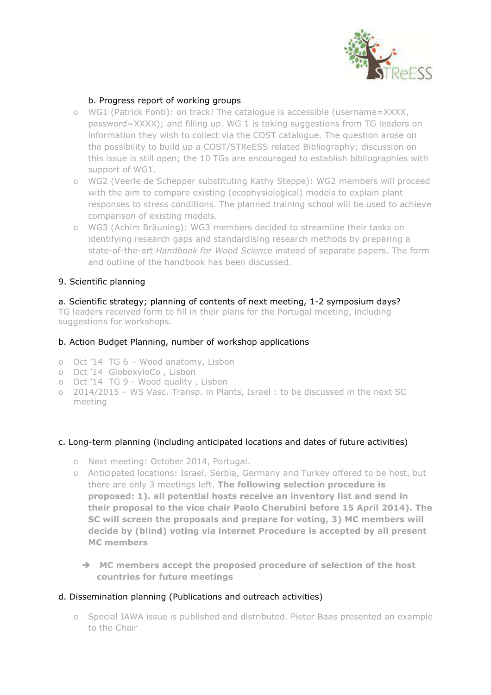

## b. Progress report of working groups

- o WG1 (Patrick Fonti): on track! The catalogue is accessible (username=XXXX, password=XXXX); and filling up. WG 1 is taking suggestions from TG leaders on information they wish to collect via the COST catalogue. The question arose on the possibility to build up a COST/STReESS related Bibliography; discussion on this issue is still open; the 10 TGs are encouraged to establish bibliographies with support of WG1.
- o WG2 (Veerle de Schepper substituting Kathy Steppe): WG2 members will proceed with the aim to compare existing (ecophysiological) models to explain plant responses to stress conditions. The planned training school will be used to achieve comparison of existing models.
- o WG3 (Achim Bräuning): WG3 members decided to streamline their tasks on identifying research gaps and standardising research methods by preparing a state-of-the-art *Handbook for Wood Science* instead of separate papers. The form and outline of the handbook has been discussed.

## 9. Scientific planning

#### a. Scientific strategy; planning of contents of next meeting, 1-2 symposium days?

TG leaders received form to fill in their plans for the Portugal meeting, including suggestions for workshops.

#### b. Action Budget Planning, number of workshop applications

- o Oct '14 TG 6 Wood anatomy, Lisbon
- o Oct '14 GloboxyloCo , Lisbon
- o Oct '14 TG 9 Wood quality , Lisbon
- o 2014/2015 WS Vasc. Transp. in Plants, Israel : to be discussed in the next SC meeting

#### c. Long-term planning (including anticipated locations and dates of future activities)

- o Next meeting: October 2014, Portugal.
- o Anticipated locations: Israel, Serbia, Germany and Turkey offered to be host, but there are only 3 meetings left. **The following selection procedure is proposed: 1). all potential hosts receive an inventory list and send in their proposal to the vice chair Paolo Cherubini before 15 April 2014). The SC will screen the proposals and prepare for voting, 3) MC members will decide by (blind) voting via internet Procedure is accepted by all present MC members** 
	- **MC members accept the proposed procedure of selection of the host countries for future meetings**

#### d. Dissemination planning (Publications and outreach activities)

o Special IAWA issue is published and distributed. Pieter Baas presented an example to the Chair